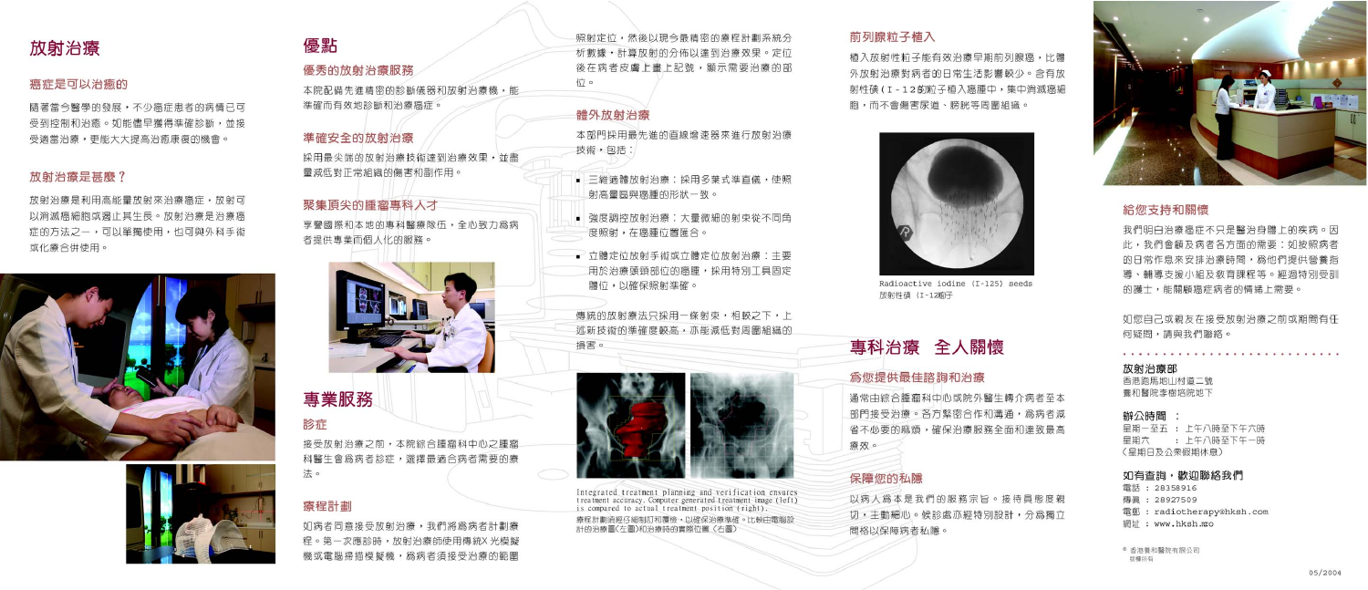

## 癌症是可以治癒的

隋著當今醫學的發展,不少癌症患者的病情已可 **受到控制和治癫。如能儘早獲得準確診斷,並接** 受適當治療,更能大大提高治癒康復的機會。

## 放射治療是甚麼?

放射治療是利用高能量放射來治療癌症,放射可 以消滅癌細胞或渴止其生長。放射治療是治療癌 症的方法之一,可以單獨使用,也可與外科手術 或化療合併使用。





## 優點

## 優秀的放射治療服務

本院配備先進精密的診斷儀器和放射治療機,能 準確而有效地診斷和治療癌症。

## 準確安全的放射治療

採用最尖端的放射治療技術達到治療效果,並盡 量減低對正常組織的傷害和副作用。

## 聚集頂尖的腫瘤專科人才

享譽國際和本地的專科醫療隊伍,全心致力爲病 者提供專業而個人化的服務。



## 專業服務

診症

接受放射治療之前,本院綜合腫瘤科中心之腫瘤 科醫生會為病者診症,選擇最適合病者需要的癢 法。

## 瘠程計劃

如病者同意接受放射治療,我們將為病者計劃癢 程。第一次應診時,放射治療師使用傳統X光模擬 機或電腦掃描模擬機,為病者須接受治療的範圍

照射定位,然後以現今最精密的癢程計劃系統分 析數據,計算放射的分佈以達到治療效果。定位 後在病者皮膚上書上記號,顯示需要治療的部 位。

## 體外放射治療



體位,以確保照射準確。

傳統的放射療法只採用一條射束,相較之下,上 **沭新技術的準確度較高,亦能減低對周圍組織的** 損害。



療效。

Integrated treatment planning and verification ensures<br>treatment accuracy. Computer generated treatment image (left)<br>is compared to actual treatment position (right).

春程計劃須經仔細制訂和覆檢,以確保治療進確。比較中電腦設 計的治療屬(左屬)和治療時的實際位置 (右屬)

前列腺粒子植入

植入放射性粒子能有效治療早期前列腺癌,比體 外放射治療對病者的日常生活影響較少。含有放 射性碘(I-12的粒子植入癌腫中,集中消滅癌細 胞,而不會傷害尿道、膀胱等周圍組織。



Radioactive iodine (I-125) seeds 放射性碘 (I-12%)子

## 專科治療 全人關懷

## 為您提供最佳諮詢和治療

通常中綜合腫瘤科中心或院外醫生轉介病者至本 部門接受治療。各方緊密合作和溝通,為病者減 省不心要的麻煩,確保治療服務全面和達致最高

## 保障您的私隱

以病人爲本是我們的服務宗旨。接待員熊度親 切,丰動細心。候診處亦經特別設計,分爲獨立 間格以保障病者私隱。



## 給您支持和關懷

我們明白治療癌症不只是醫治身體上的疾病。因 此,我們會顧及病者各方面的需要:如按照病者 的日常作息來安排治療時間,為他們提供營養指 導、輔導支援小組及教育課程等。經過特別受訓 的護士,能關顧癌症病者的情緒上需要。

如您自己或親友在接受放射治療之前或期間有任 何疑問,請與我們聯絡。

a la provincia de la provincia de la provincia de la provincia de la provincia

放射治療部 香港跑馬地山村道二號

養和醫院李樹培院地下

#### 辦公時間 :

星期一至五 : 上午八時至下午六時 星期六 : 上午八時至下午一時 (星期日及公衆假期休息)

#### 如有查詢,歡迎聯絡我們

雷話: 28358916 傳眞: 28927509 電郵: radiotherapy@hksh.com 網址: www.hksh.mco

◎ 香港養和醫院有限公司 版權所有